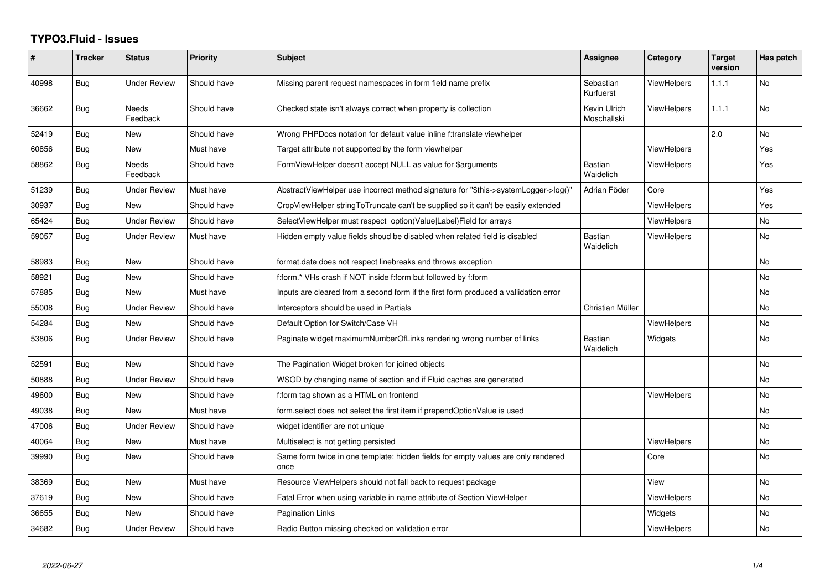## **TYPO3.Fluid - Issues**

| #     | <b>Tracker</b> | <b>Status</b>            | <b>Priority</b> | Subject                                                                                   | <b>Assignee</b>             | Category           | <b>Target</b><br>version | Has patch |
|-------|----------------|--------------------------|-----------------|-------------------------------------------------------------------------------------------|-----------------------------|--------------------|--------------------------|-----------|
| 40998 | <b>Bug</b>     | <b>Under Review</b>      | Should have     | Missing parent request namespaces in form field name prefix                               | Sebastian<br>Kurfuerst      | ViewHelpers        | 1.1.1                    | <b>No</b> |
| 36662 | Bug            | <b>Needs</b><br>Feedback | Should have     | Checked state isn't always correct when property is collection                            | Kevin Ulrich<br>Moschallski | <b>ViewHelpers</b> | 1.1.1                    | No        |
| 52419 | Bug            | New                      | Should have     | Wrong PHPDocs notation for default value inline f:translate viewhelper                    |                             |                    | 2.0                      | No        |
| 60856 | Bug            | <b>New</b>               | Must have       | Target attribute not supported by the form viewhelper                                     |                             | <b>ViewHelpers</b> |                          | Yes       |
| 58862 | Bug            | Needs<br>Feedback        | Should have     | FormViewHelper doesn't accept NULL as value for \$arguments                               | <b>Bastian</b><br>Waidelich | ViewHelpers        |                          | Yes       |
| 51239 | Bug            | <b>Under Review</b>      | Must have       | AbstractViewHelper use incorrect method signature for "\$this->systemLogger->log()"       | Adrian Föder                | Core               |                          | Yes       |
| 30937 | Bug            | New                      | Should have     | CropViewHelper stringToTruncate can't be supplied so it can't be easily extended          |                             | <b>ViewHelpers</b> |                          | Yes       |
| 65424 | Bug            | <b>Under Review</b>      | Should have     | SelectViewHelper must respect option(Value Label)Field for arrays                         |                             | ViewHelpers        |                          | No        |
| 59057 | <b>Bug</b>     | <b>Under Review</b>      | Must have       | Hidden empty value fields shoud be disabled when related field is disabled                | <b>Bastian</b><br>Waidelich | ViewHelpers        |                          | No        |
| 58983 | Bug            | New                      | Should have     | format.date does not respect linebreaks and throws exception                              |                             |                    |                          | No        |
| 58921 | Bug            | <b>New</b>               | Should have     | f:form.* VHs crash if NOT inside f:form but followed by f:form                            |                             |                    |                          | No        |
| 57885 | Bug            | <b>New</b>               | Must have       | Inputs are cleared from a second form if the first form produced a vallidation error      |                             |                    |                          | No        |
| 55008 | Bug            | <b>Under Review</b>      | Should have     | Interceptors should be used in Partials                                                   | Christian Müller            |                    |                          | No        |
| 54284 | Bug            | New                      | Should have     | Default Option for Switch/Case VH                                                         |                             | <b>ViewHelpers</b> |                          | No        |
| 53806 | Bug            | <b>Under Review</b>      | Should have     | Paginate widget maximumNumberOfLinks rendering wrong number of links                      | <b>Bastian</b><br>Waidelich | Widgets            |                          | <b>No</b> |
| 52591 | <b>Bug</b>     | New                      | Should have     | The Pagination Widget broken for joined objects                                           |                             |                    |                          | No        |
| 50888 | <b>Bug</b>     | <b>Under Review</b>      | Should have     | WSOD by changing name of section and if Fluid caches are generated                        |                             |                    |                          | No        |
| 49600 | Bug            | New                      | Should have     | f:form tag shown as a HTML on frontend                                                    |                             | <b>ViewHelpers</b> |                          | No        |
| 49038 | <b>Bug</b>     | New                      | Must have       | form select does not select the first item if prependOptionValue is used                  |                             |                    |                          | No        |
| 47006 | Bug            | <b>Under Review</b>      | Should have     | widget identifier are not unique                                                          |                             |                    |                          | No        |
| 40064 | <b>Bug</b>     | New                      | Must have       | Multiselect is not getting persisted                                                      |                             | <b>ViewHelpers</b> |                          | No        |
| 39990 | Bug            | New                      | Should have     | Same form twice in one template: hidden fields for empty values are only rendered<br>once |                             | Core               |                          | No        |
| 38369 | Bug            | New                      | Must have       | Resource ViewHelpers should not fall back to request package                              |                             | View               |                          | No        |
| 37619 | Bug            | <b>New</b>               | Should have     | Fatal Error when using variable in name attribute of Section ViewHelper                   |                             | <b>ViewHelpers</b> |                          | No        |
| 36655 | Bug            | New                      | Should have     | <b>Pagination Links</b>                                                                   |                             | Widgets            |                          | No        |
| 34682 | <b>Bug</b>     | <b>Under Review</b>      | Should have     | Radio Button missing checked on validation error                                          |                             | ViewHelpers        |                          | No        |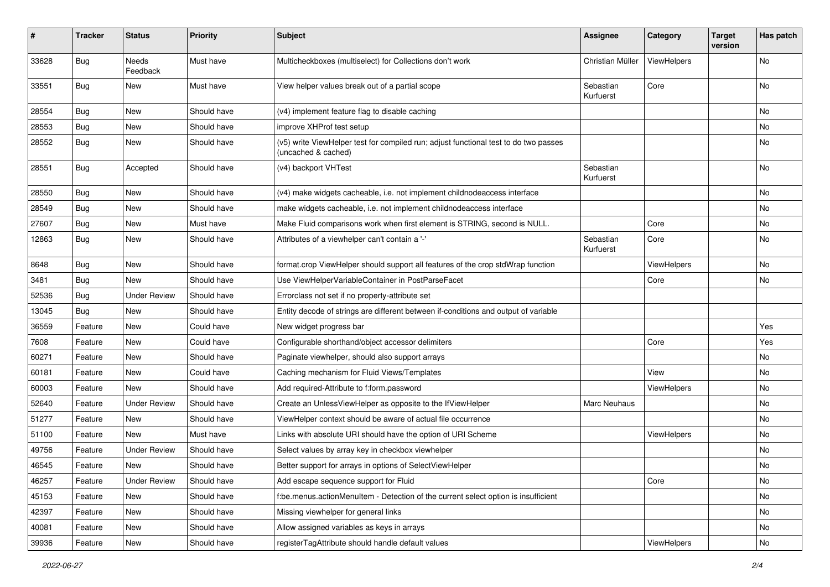| #     | <b>Tracker</b> | <b>Status</b>            | <b>Priority</b> | Subject                                                                                                     | <b>Assignee</b>        | Category    | <b>Target</b><br>version | Has patch |
|-------|----------------|--------------------------|-----------------|-------------------------------------------------------------------------------------------------------------|------------------------|-------------|--------------------------|-----------|
| 33628 | Bug            | <b>Needs</b><br>Feedback | Must have       | Multicheckboxes (multiselect) for Collections don't work                                                    | Christian Müller       | ViewHelpers |                          | <b>No</b> |
| 33551 | Bug            | New                      | Must have       | View helper values break out of a partial scope                                                             | Sebastian<br>Kurfuerst | Core        |                          | No        |
| 28554 | Bug            | New                      | Should have     | (v4) implement feature flag to disable caching                                                              |                        |             |                          | No        |
| 28553 | Bug            | New                      | Should have     | improve XHProf test setup                                                                                   |                        |             |                          | No        |
| 28552 | Bug            | New                      | Should have     | (v5) write ViewHelper test for compiled run; adjust functional test to do two passes<br>(uncached & cached) |                        |             |                          | No        |
| 28551 | Bug            | Accepted                 | Should have     | (v4) backport VHTest                                                                                        | Sebastian<br>Kurfuerst |             |                          | No        |
| 28550 | Bug            | New                      | Should have     | (v4) make widgets cacheable, i.e. not implement childnodeaccess interface                                   |                        |             |                          | No        |
| 28549 | Bug            | <b>New</b>               | Should have     | make widgets cacheable, i.e. not implement childnodeaccess interface                                        |                        |             |                          | No        |
| 27607 | Bug            | New                      | Must have       | Make Fluid comparisons work when first element is STRING, second is NULL.                                   |                        | Core        |                          | No        |
| 12863 | Bug            | New                      | Should have     | Attributes of a viewhelper can't contain a '-'                                                              | Sebastian<br>Kurfuerst | Core        |                          | No        |
| 8648  | Bug            | New                      | Should have     | format.crop ViewHelper should support all features of the crop stdWrap function                             |                        | ViewHelpers |                          | No        |
| 3481  | Bug            | <b>New</b>               | Should have     | Use ViewHelperVariableContainer in PostParseFacet                                                           |                        | Core        |                          | <b>No</b> |
| 52536 | Bug            | <b>Under Review</b>      | Should have     | Errorclass not set if no property-attribute set                                                             |                        |             |                          |           |
| 13045 | Bug            | New                      | Should have     | Entity decode of strings are different between if-conditions and output of variable                         |                        |             |                          |           |
| 36559 | Feature        | New                      | Could have      | New widget progress bar                                                                                     |                        |             |                          | Yes       |
| 7608  | Feature        | New                      | Could have      | Configurable shorthand/object accessor delimiters                                                           |                        | Core        |                          | Yes       |
| 60271 | Feature        | New                      | Should have     | Paginate viewhelper, should also support arrays                                                             |                        |             |                          | No        |
| 60181 | Feature        | New                      | Could have      | Caching mechanism for Fluid Views/Templates                                                                 |                        | View        |                          | No        |
| 60003 | Feature        | New                      | Should have     | Add required-Attribute to f:form.password                                                                   |                        | ViewHelpers |                          | No        |
| 52640 | Feature        | <b>Under Review</b>      | Should have     | Create an UnlessViewHelper as opposite to the IfViewHelper                                                  | Marc Neuhaus           |             |                          | No        |
| 51277 | Feature        | New                      | Should have     | ViewHelper context should be aware of actual file occurrence                                                |                        |             |                          | No        |
| 51100 | Feature        | New                      | Must have       | Links with absolute URI should have the option of URI Scheme                                                |                        | ViewHelpers |                          | No        |
| 49756 | Feature        | <b>Under Review</b>      | Should have     | Select values by array key in checkbox viewhelper                                                           |                        |             |                          | No        |
| 46545 | Feature        | New                      | Should have     | Better support for arrays in options of SelectViewHelper                                                    |                        |             |                          | No        |
| 46257 | Feature        | <b>Under Review</b>      | Should have     | Add escape sequence support for Fluid                                                                       |                        | Core        |                          | No        |
| 45153 | Feature        | New                      | Should have     | f:be.menus.actionMenuItem - Detection of the current select option is insufficient                          |                        |             |                          | No        |
| 42397 | Feature        | New                      | Should have     | Missing viewhelper for general links                                                                        |                        |             |                          | No        |
| 40081 | Feature        | New                      | Should have     | Allow assigned variables as keys in arrays                                                                  |                        |             |                          | No        |
| 39936 | Feature        | New                      | Should have     | registerTagAttribute should handle default values                                                           |                        | ViewHelpers |                          | No        |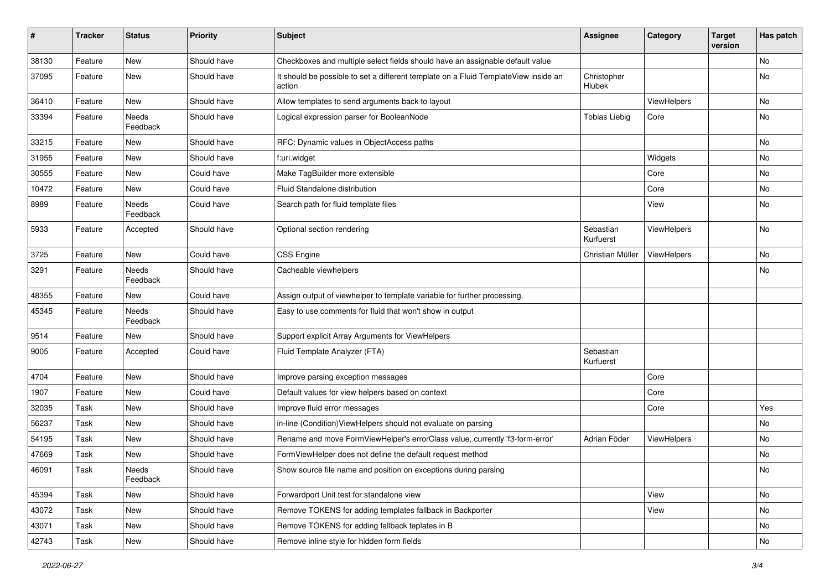| #     | <b>Tracker</b> | <b>Status</b>     | <b>Priority</b> | Subject                                                                                       | Assignee               | Category    | <b>Target</b><br>version | Has patch |
|-------|----------------|-------------------|-----------------|-----------------------------------------------------------------------------------------------|------------------------|-------------|--------------------------|-----------|
| 38130 | Feature        | New               | Should have     | Checkboxes and multiple select fields should have an assignable default value                 |                        |             |                          | No        |
| 37095 | Feature        | New               | Should have     | It should be possible to set a different template on a Fluid TemplateView inside an<br>action | Christopher<br>Hlubek  |             |                          | No        |
| 36410 | Feature        | New               | Should have     | Allow templates to send arguments back to layout                                              |                        | ViewHelpers |                          | No        |
| 33394 | Feature        | Needs<br>Feedback | Should have     | Logical expression parser for BooleanNode                                                     | <b>Tobias Liebig</b>   | Core        |                          | No        |
| 33215 | Feature        | New               | Should have     | RFC: Dynamic values in ObjectAccess paths                                                     |                        |             |                          | No        |
| 31955 | Feature        | New               | Should have     | f:uri.widget                                                                                  |                        | Widgets     |                          | No        |
| 30555 | Feature        | New               | Could have      | Make TagBuilder more extensible                                                               |                        | Core        |                          | No        |
| 10472 | Feature        | New               | Could have      | Fluid Standalone distribution                                                                 |                        | Core        |                          | No        |
| 8989  | Feature        | Needs<br>Feedback | Could have      | Search path for fluid template files                                                          |                        | View        |                          | No        |
| 5933  | Feature        | Accepted          | Should have     | Optional section rendering                                                                    | Sebastian<br>Kurfuerst | ViewHelpers |                          | No        |
| 3725  | Feature        | New               | Could have      | <b>CSS Engine</b>                                                                             | Christian Müller       | ViewHelpers |                          | No        |
| 3291  | Feature        | Needs<br>Feedback | Should have     | Cacheable viewhelpers                                                                         |                        |             |                          | <b>No</b> |
| 48355 | Feature        | New               | Could have      | Assign output of viewhelper to template variable for further processing.                      |                        |             |                          |           |
| 45345 | Feature        | Needs<br>Feedback | Should have     | Easy to use comments for fluid that won't show in output                                      |                        |             |                          |           |
| 9514  | Feature        | New               | Should have     | Support explicit Array Arguments for ViewHelpers                                              |                        |             |                          |           |
| 9005  | Feature        | Accepted          | Could have      | Fluid Template Analyzer (FTA)                                                                 | Sebastian<br>Kurfuerst |             |                          |           |
| 4704  | Feature        | New               | Should have     | Improve parsing exception messages                                                            |                        | Core        |                          |           |
| 1907  | Feature        | New               | Could have      | Default values for view helpers based on context                                              |                        | Core        |                          |           |
| 32035 | Task           | New               | Should have     | Improve fluid error messages                                                                  |                        | Core        |                          | Yes       |
| 56237 | Task           | New               | Should have     | in-line (Condition) ViewHelpers should not evaluate on parsing                                |                        |             |                          | No        |
| 54195 | Task           | New               | Should have     | Rename and move FormViewHelper's errorClass value, currently 'f3-form-error'                  | Adrian Föder           | ViewHelpers |                          | No        |
| 47669 | Task           | New               | Should have     | FormViewHelper does not define the default request method                                     |                        |             |                          | No        |
| 46091 | Task           | Needs<br>Feedback | Should have     | Show source file name and position on exceptions during parsing                               |                        |             |                          | No        |
| 45394 | Task           | New               | Should have     | Forwardport Unit test for standalone view                                                     |                        | View        |                          | No        |
| 43072 | Task           | New               | Should have     | Remove TOKENS for adding templates fallback in Backporter                                     |                        | View        |                          | No        |
| 43071 | Task           | New               | Should have     | Remove TOKENS for adding fallback teplates in B                                               |                        |             |                          | No        |
| 42743 | Task           | New               | Should have     | Remove inline style for hidden form fields                                                    |                        |             |                          | No        |